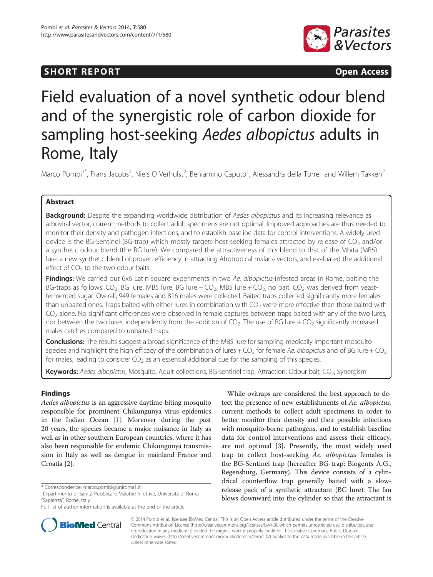## **SHORT REPORT SHORT CONSUMING ACCESS**



# Field evaluation of a novel synthetic odour blend and of the synergistic role of carbon dioxide for sampling host-seeking Aedes albopictus adults in Rome, Italy

Marco Pombi<sup>1\*</sup>, Frans Jacobs<sup>2</sup>, Niels O Verhulst<sup>2</sup>, Beniamino Caputo<sup>1</sup>, Alessandra della Torre<sup>1</sup> and Willem Takken<sup>2</sup>

## Abstract

**Background:** Despite the expanding worldwide distribution of Aedes albopictus and its increasing relevance as arboviral vector, current methods to collect adult specimens are not optimal. Improved approaches are thus needed to monitor their density and pathogen infections, and to establish baseline data for control interventions. A widely used device is the BG-Sentinel (BG-trap) which mostly targets host-seeking females attracted by release of  $CO<sub>2</sub>$  and/or a synthetic odour blend (the BG lure). We compared the attractiveness of this blend to that of the Mbita (MB5) lure, a new synthetic blend of proven efficiency in attracting Afrotropical malaria vectors, and evaluated the additional effect of  $CO<sub>2</sub>$  to the two odour baits.

Findings: We carried out 6x6 Latin square experiments in two Ae. albopictus-infested areas in Rome, baiting the BG-traps as follows:  $CO_2$ , BG lure, MB5 lure, BG lure +  $CO_2$ , MB5 lure +  $CO_2$ , no bait.  $CO_2$  was derived from yeastfermented sugar. Overall, 949 females and 816 males were collected. Baited traps collected significantly more females than unbaited ones. Traps baited with either lures in combination with  $CO<sub>2</sub>$  were more effective than those baited with  $CO<sub>2</sub>$  alone. No significant differences were observed in female captures between traps baited with any of the two lures, nor between the two lures, independently from the addition of  $CO<sub>2</sub>$ . The use of BG lure +  $CO<sub>2</sub>$  significantly increased males catches compared to unbaited traps.

**Conclusions:** The results suggest a broad significance of the MB5 lure for sampling medically important mosquito species and highlight the high efficacy of the combination of lures +  $CO<sub>2</sub>$  for female Ae. albopictus and of BG lure +  $CO<sub>2</sub>$ for males, leading to consider  $CO<sub>2</sub>$  as an essential additional cue for the sampling of this species.

Keywords: Aedes albopictus, Mosquito, Adult collections, BG-sentinel trap, Attraction, Odour bait, CO<sub>2</sub>, Synergism

## Findings

Aedes albopictus is an aggressive daytime-biting mosquito responsible for prominent Chikungunya virus epidemics in the Indian Ocean [[1\]](#page-4-0). Moreover during the past 20 years, the species became a major nuisance in Italy as well as in other southern European countries, where it has also been responsible for endemic Chikungunya transmission in Italy as well as dengue in mainland France and Croatia [[2\]](#page-4-0).



**BioMed** Central

© 2014 Pombi et al.; licensee BioMed Central. This is an Open Access article distributed under the terms of the Creative Commons Attribution License [\(http://creativecommons.org/licenses/by/4.0\)](http://creativecommons.org/licenses/by/4.0), which permits unrestricted use, distribution, and reproduction in any medium, provided the original work is properly credited. The Creative Commons Public Domain Dedication waiver [\(http://creativecommons.org/publicdomain/zero/1.0/](http://creativecommons.org/publicdomain/zero/1.0/)) applies to the data made available in this article, unless otherwise stated.

<sup>\*</sup> Correspondence: [marco.pombi@uniroma1.it](mailto:marco.pombi@uniroma1.it) <sup>1</sup>

Dipartimento di Sanità Pubblica e Malattie Infettive, Università di Roma "Sapienza", Rome, Italy

Full list of author information is available at the end of the article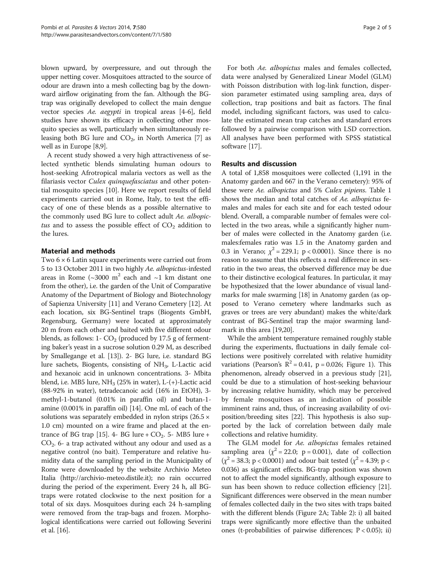blown upward, by overpressure, and out through the upper netting cover. Mosquitoes attracted to the source of odour are drawn into a mesh collecting bag by the downward airflow originating from the fan. Although the BGtrap was originally developed to collect the main dengue vector species Ae. aegypti in tropical areas [[4-6\]](#page-4-0), field studies have shown its efficacy in collecting other mosquito species as well, particularly when simultaneously releasing both BG lure and  $CO<sub>2</sub>$ , in North America [\[7](#page-4-0)] as well as in Europe [\[8,9\]](#page-4-0).

A recent study showed a very high attractiveness of selected synthetic blends simulating human odours to host-seeking Afrotropical malaria vectors as well as the filariasis vector Culex quinquefasciatus and other potential mosquito species [[10](#page-4-0)]. Here we report results of field experiments carried out in Rome, Italy, to test the efficacy of one of these blends as a possible alternative to the commonly used BG lure to collect adult Ae. albopictus and to assess the possible effect of  $CO<sub>2</sub>$  addition to the lures.

## Material and methods

Two 6 × 6 Latin square experiments were carried out from 5 to 13 October 2011 in two highly Ae. albopictus-infested areas in Rome ( $\sim$ 3000 m<sup>2</sup> each and  $\sim$ 1 km distant one from the other), i.e. the garden of the Unit of Comparative Anatomy of the Department of Biology and Biotechnology of Sapienza University [\[11](#page-4-0)] and Verano Cemetery [[12](#page-4-0)]. At each location, six BG-Sentinel traps (Biogents GmbH, Regensburg, Germany) were located at approximately 20 m from each other and baited with five different odour blends, as follows: 1-  $CO<sub>2</sub>$  (produced by 17.5 g of fermenting baker's yeast in a sucrose solution 0.29 M, as described by Smallegange et al. [\[13\]](#page-4-0)). 2- BG lure, i.e. standard BG lure sachets, Biogents, consisting of NH3, L-Lactic acid and hexanoic acid in unknown concentrations. 3- Mbita blend, i.e. MB5 lure,  $NH<sub>3</sub>$  (25% in water), L-(+)-Lactic acid (88-92% in water), tetradecanoic acid (16% in EtOH), 3 methyl-1-butanol (0.01% in paraffin oil) and butan-1 amine (0.001% in paraffin oil) [\[14\]](#page-4-0). One mL of each of the solutions was separately embedded in nylon strips  $(26.5 \times$ 1.0 cm) mounted on a wire frame and placed at the en-trance of BG trap [[15](#page-4-0)]. 4- BG lure +  $CO<sub>2</sub>$ . 5- MB5 lure +  $CO<sub>2</sub>$ . 6- a trap activated without any odour and used as a negative control (no bait). Temperature and relative humidity data of the sampling period in the Municipality of Rome were downloaded by the website Archivio Meteo Italia ([http://archivio-meteo.distile.it\)](http://archivio-meteo.distile.it); no rain occurred during the period of the experiment. Every 24 h, all BGtraps were rotated clockwise to the next position for a total of six days. Mosquitoes during each 24 h-sampling were removed from the trap-bags and frozen. Morphological identifications were carried out following Severini et al. [\[16\]](#page-4-0).

For both Ae. albopictus males and females collected, data were analysed by Generalized Linear Model (GLM) with Poisson distribution with log-link function, dispersion parameter estimated using sampling area, days of collection, trap positions and bait as factors. The final model, including significant factors, was used to calculate the estimated mean trap catches and standard errors followed by a pairwise comparison with LSD correction. All analyses have been performed with SPSS statistical software [\[17\]](#page-4-0).

## Results and discussion

A total of 1,858 mosquitoes were collected (1,191 in the Anatomy garden and 667 in the Verano cemetery): 95% of these were Ae. albopictus and 5% Culex pipiens. Table [1](#page-2-0) shows the median and total catches of Ae. albopictus females and males for each site and for each tested odour blend. Overall, a comparable number of females were collected in the two areas, while a significantly higher number of males were collected in the Anatomy garden (i.e. males:females ratio was 1.5 in the Anatomy garden and 0.3 in Verano;  $\chi^2 = 229.1$ ; p < 0.0001). Since there is no reason to assume that this reflects a real difference in sexratio in the two areas, the observed difference may be due to their distinctive ecological features. In particular, it may be hypothesized that the lower abundance of visual landmarks for male swarming [[18](#page-4-0)] in Anatomy garden (as opposed to Verano cemetery where landmarks such as graves or trees are very abundant) makes the white/dark contrast of BG-Sentinel trap the major swarming landmark in this area [\[19,20](#page-4-0)].

While the ambient temperature remained roughly stable during the experiments, fluctuations in daily female collections were positively correlated with relative humidity variations (Pearson's  $R^2 = 0.41$ , p = 0.026; Figure [1](#page-2-0)). This phenomenon, already observed in a previous study [[21](#page-4-0)], could be due to a stimulation of host-seeking behaviour by increasing relative humidity, which may be perceived by female mosquitoes as an indication of possible imminent rains and, thus, of increasing availability of oviposition/breeding sites [[22](#page-4-0)]. This hypothesis is also supported by the lack of correlation between daily male collections and relative humidity.

The GLM model for Ae. albopictus females retained sampling area  $(\chi^2 = 22.0; \ p = 0.001)$ , date of collection  $(\chi^2 = 38.3; p < 0.0001)$  and odour bait tested  $(\chi^2 = 4.39; p <$ 0.036) as significant effects. BG-trap position was shown not to affect the model significantly, although exposure to sun has been shown to reduce collection efficiency [[21](#page-4-0)]. Significant differences were observed in the mean number of females collected daily in the two sites with traps baited with the different blends (Figure [2](#page-3-0)A; Table [2\)](#page-3-0): i) all baited traps were significantly more effective than the unbaited ones (t-probabilities of pairwise differences; P < 0.05); ii)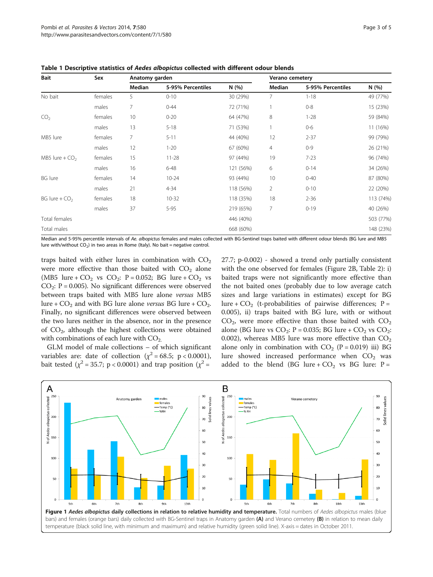| Bait             | Sex     | Anatomy garden |                   |           | <b>Verano cemetery</b> |                   |           |
|------------------|---------|----------------|-------------------|-----------|------------------------|-------------------|-----------|
|                  |         | Median         | 5-95% Percentiles | N(%)      | Median                 | 5-95% Percentiles | N (%)     |
| No bait          | females | 5              | $0 - 10$          | 30 (29%)  | 7                      | $1 - 18$          | 49 (77%)  |
|                  | males   | 7              | $0 - 44$          | 72 (71%)  | 1                      | $0 - 8$           | 15 (23%)  |
| CO <sub>2</sub>  | females | 10             | $0 - 20$          | 64 (47%)  | 8                      | $1 - 28$          | 59 (84%)  |
|                  | males   | 13             | $5 - 18$          | 71 (53%)  |                        | $0-6$             | 11 (16%)  |
| MB5 lure         | females | 7              | $5 - 11$          | 44 (40%)  | 12                     | $2 - 37$          | 99 (79%)  |
|                  | males   | 12             | $1 - 20$          | 67 (60%)  | 4                      | $0 - 9$           | 26 (21%)  |
| MB5 lure + $CO2$ | females | 15             | $11 - 28$         | 97 (44%)  | 19                     | $7 - 23$          | 96 (74%)  |
|                  | males   | 16             | $6 - 48$          | 121 (56%) | 6                      | $0 - 14$          | 34 (26%)  |
| <b>BG</b> lure   | females | 14             | $10 - 24$         | 93 (44%)  | 10                     | $0 - 40$          | 87 (80%)  |
|                  | males   | 21             | $4 - 34$          | 118 (56%) | $\overline{2}$         | $0 - 10$          | 22 (20%)  |
| BG lure + $CO2$  | females | 18             | $10 - 32$         | 118 (35%) | 18                     | $2 - 36$          | 113 (74%) |
|                  | males   | 37             | $5 - 95$          | 219 (65%) | 7                      | $0 - 19$          | 40 (26%)  |
| Total females    |         |                |                   | 446 (40%) |                        |                   | 503 (77%) |
| Total males      |         |                |                   | 668 (60%) |                        |                   | 148 (23%) |

<span id="page-2-0"></span>Table 1 Descriptive statistics of Aedes albopictus collected with different odour blends

Median and 5-95% percentile intervals of Ae. albopictus females and males collected with BG-Sentinel traps baited with different odour blends (BG lure and MB5 lure with/without  $CO<sub>2</sub>$ ) in two areas in Rome (Italy). No bait = negative control.

traps baited with either lures in combination with  $CO<sub>2</sub>$ were more effective than those baited with  $CO<sub>2</sub>$  alone (MB5 lure +  $CO_2$  vs  $CO_2$ : P = 0.052; BG lure +  $CO_2$  vs  $CO<sub>2</sub>:$  P = 0.005). No significant differences were observed between traps baited with MB5 lure alone versus MB5 lure +  $CO<sub>2</sub>$  and with BG lure alone versus BG lure +  $CO<sub>2</sub>$ . Finally, no significant differences were observed between the two lures neither in the absence, nor in the presence of  $CO<sub>2</sub>$ , although the highest collections were obtained with combinations of each lure with  $CO<sub>2</sub>$ .

GLM model of male collections – of which significant variables are: date of collection ( $\chi^2$  = 68.5; p < 0.0001), bait tested ( $\chi^2$  = 35.7; p < 0.0001) and trap position ( $\chi^2$  =

27.7; p-0.002) - showed a trend only partially consistent with the one observed for females (Figure [2](#page-3-0)B, Table [2\)](#page-3-0): i) baited traps were not significantly more effective than the not baited ones (probably due to low average catch sizes and large variations in estimates) except for BG lure +  $CO<sub>2</sub>$  (t-probabilities of pairwise differences; P = 0.005), ii) traps baited with BG lure, with or without  $CO<sub>2</sub>$ , were more effective than those baited with  $CO<sub>2</sub>$ alone (BG lure vs  $CO_2$ : P = 0.035; BG lure +  $CO_2$  vs  $CO_2$ : 0.002), whereas MB5 lure was more effective than  $CO<sub>2</sub>$ alone only in combination with  $CO_2$  (P = 0.019) iii) BG lure showed increased performance when  $CO<sub>2</sub>$  was added to the blend (BG lure +  $CO<sub>2</sub>$  vs BG lure: P =

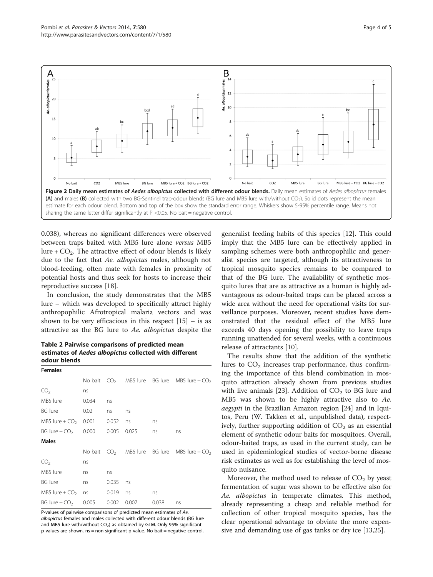<span id="page-3-0"></span>

0.038), whereas no significant differences were observed between traps baited with MB5 lure alone versus MB5 lure +  $CO<sub>2</sub>$ . The attractive effect of odour blends is likely due to the fact that Ae. albopictus males, although not blood-feeding, often mate with females in proximity of potential hosts and thus seek for hosts to increase their reproductive success [\[18](#page-4-0)].

In conclusion, the study demonstrates that the MB5 lure – which was developed to specifically attract highly anthropophilic Afrotropical malaria vectors and was shown to be very efficacious in this respect  $[15]$  $[15]$  – is as attractive as the BG lure to Ae. albopictus despite the

Table 2 Pairwise comparisons of predicted mean estimates of Aedes albopictus collected with different odour blends

| <b>Females</b>   |         |       |       |       |                                                 |
|------------------|---------|-------|-------|-------|-------------------------------------------------|
|                  |         |       |       |       | No bait $CO2$ MB5 lure BG lure MB5 lure + $CO2$ |
| CO <sub>2</sub>  | ns      |       |       |       |                                                 |
| MB5 lure         | 0.034   | ns    |       |       |                                                 |
| BG lure          | 0.02    | ns    | ns    |       |                                                 |
| MB5 lure + $CO2$ | 0.001   | 0.052 | ns    | ns    |                                                 |
| BG lure + $CO2$  | 0.000   | 0.005 | 0.025 | ns    | ns                                              |
| <b>Males</b>     |         |       |       |       |                                                 |
|                  | No bait |       |       |       | $CO2$ MB5 lure BG lure MB5 lure + $CO2$         |
| CO <sub>2</sub>  | ns      |       |       |       |                                                 |
| MB5 lure         | ns      | ns    |       |       |                                                 |
| <b>BG</b> lure   | ns      | 0.035 | ns    |       |                                                 |
| MB5 lure + $CO2$ | ns      | 0.019 | ns    | ns    |                                                 |
| BG lure + $CO2$  | 0.005   | 0.002 | 0.007 | 0.038 | ns                                              |

P-values of pairwise comparisons of predicted mean estimates of Ae. albopictus females and males collected with different odour blends (BG lure and MB5 lure with/without  $CO<sub>2</sub>$ ) as obtained by GLM. Only 95% significant p-values are shown. ns = non-significant p-value. No bait = negative control.

generalist feeding habits of this species [\[12\]](#page-4-0). This could imply that the MB5 lure can be effectively applied in sampling schemes were both anthropophilic and generalist species are targeted, although its attractiveness to tropical mosquito species remains to be compared to that of the BG lure. The availability of synthetic mosquito lures that are as attractive as a human is highly advantageous as odour-baited traps can be placed across a wide area without the need for operational visits for surveillance purposes. Moreover, recent studies have demonstrated that the residual effect of the MB5 lure exceeds 40 days opening the possibility to leave traps running unattended for several weeks, with a continuous release of attractants [[10](#page-4-0)].

The results show that the addition of the synthetic lures to  $CO<sub>2</sub>$  increases trap performance, thus confirming the importance of this blend combination in mosquito attraction already shown from previous studies with live animals [\[23](#page-4-0)]. Addition of  $CO<sub>2</sub>$  to BG lure and MB5 was shown to be highly attractive also to Ae. aegypti in the Brazilian Amazon region [[24\]](#page-4-0) and in Iquitos, Peru (W. Takken et al., unpublished data), respectively, further supporting addition of  $CO<sub>2</sub>$  as an essential element of synthetic odour baits for mosquitoes. Overall, odour-baited traps, as used in the current study, can be used in epidemiological studies of vector-borne disease risk estimates as well as for establishing the level of mosquito nuisance.

Moreover, the method used to release of  $CO<sub>2</sub>$  by yeast fermentation of sugar was shown to be effective also for Ae. albopictus in temperate climates. This method, already representing a cheap and reliable method for collection of other tropical mosquito species, has the clear operational advantage to obviate the more expensive and demanding use of gas tanks or dry ice [[13,25\]](#page-4-0).